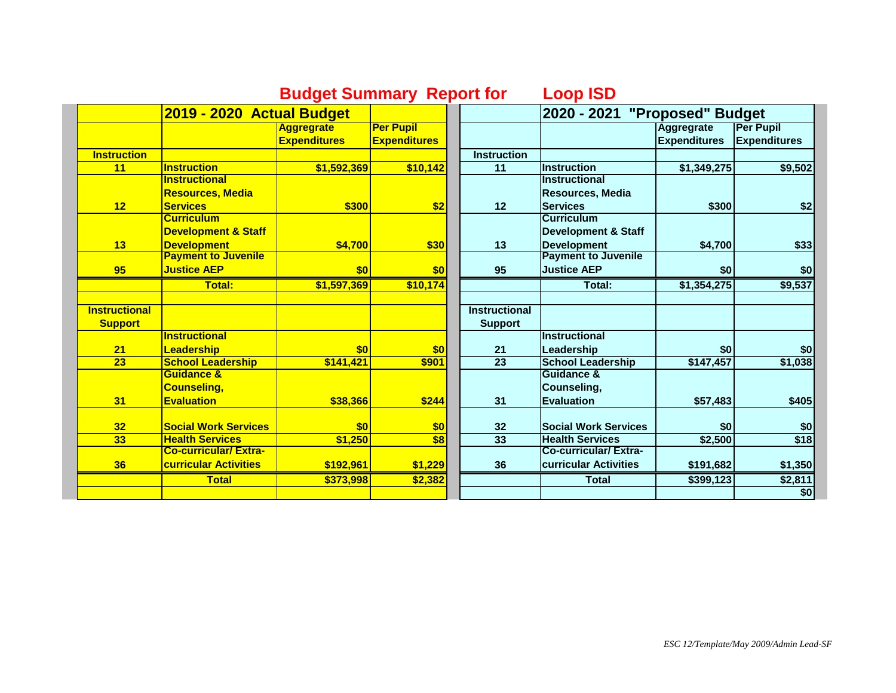## **Budget Summary Report for Loop ISD**

**2019 - 2020 Actual Budget 2020 - 2021 "Proposed" Budget Aggregrate Expenditures Per Pupil Expenditures Aggregrate Expenditures Per Pupil Expenditures Instruction**<br> **Instruction**<br> **Instruction**<br> **Instruction**<br> **Instruction**<br> **Instruction**<br> **Instruction**<br> **Instruction**<br> **I 11 Instruction \$1,592,369 \$10,142 11 Instruction \$1,349,275 \$9,502 12 Instructional Resources, Media Services \$300 \$2 12 Instructional Resources, Media Services \$300 \$2 13 Curriculum Development & Staff Development \$4,700 \$30 13 Curriculum Development & Staff Development \$4,700 \$33 95 Payment to Juvenile Justice AEP \$0 \$0 95 Payment to Juvenile Justice AEP \$0 \$0 \$0 Total: \$1,597,369 \$10,174 Total: \$1,354,275 \$9,537 Instructional Support Instructional Support 21 Instructional Leadership \$0 \$0 21 Instructional Leadership**  $\begin{array}{|c|c|c|c|c|} \hline & & & \text{\$0} & & \text{\$0} \ \hline \text{School Leadership} & & \text{\$147,457} & & \text{\$1,038} \ \hline \end{array}$ **23 School Leadership \$141,421 \$901 23 School Leadership \$147,457 \$1,038 31 Guidance & Counseling, Evaluation 1 \$38,366 \$244 31 Guidance & Counseling, Evaluation \$57,483 \$405 32 Social Work Services \$0 \$0 32 Social Work Services \$0 \$0 33 Health Services \$1,250 \$8 33 Health Services \$2,500 \$18 36 Co-curricular/ Extracurricular Activities \$192,961 \$1,229 36 Co-curricular/ Extracurricular Activities \$191,682 \$1,350 Total \$373,998 \$2,382 Total \$399,123 \$2,811 \$0**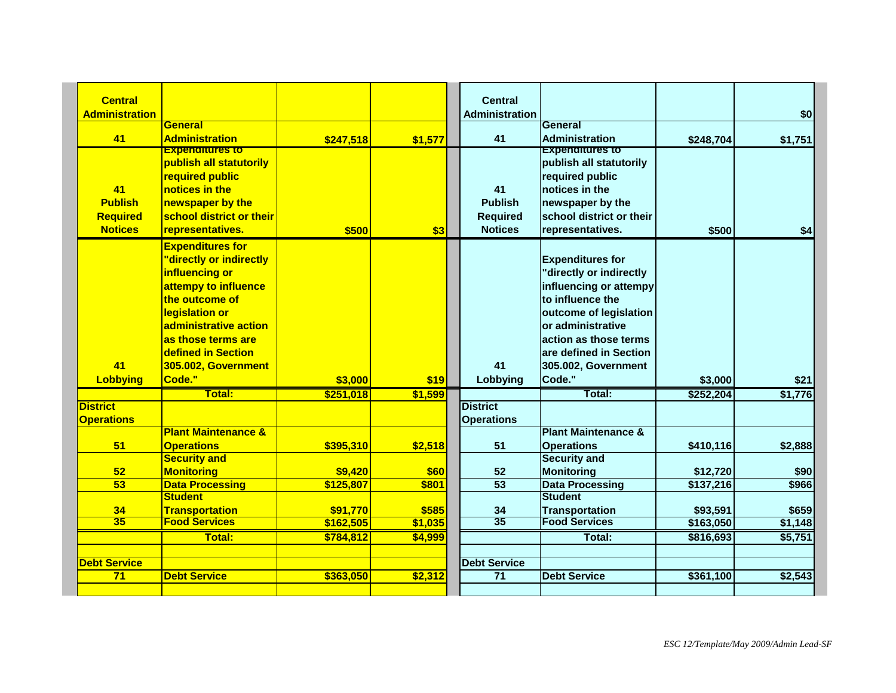|                                                                                                                                                                                                                                             |                                                                                                      |                      | <b>Central</b>                                            |                                                                                                                                                                                                                           |                                                                                                     | \$0                               |
|---------------------------------------------------------------------------------------------------------------------------------------------------------------------------------------------------------------------------------------------|------------------------------------------------------------------------------------------------------|----------------------|-----------------------------------------------------------|---------------------------------------------------------------------------------------------------------------------------------------------------------------------------------------------------------------------------|-----------------------------------------------------------------------------------------------------|-----------------------------------|
| General                                                                                                                                                                                                                                     |                                                                                                      |                      |                                                           | General                                                                                                                                                                                                                   |                                                                                                     |                                   |
| <b>Administration</b>                                                                                                                                                                                                                       | \$247,518                                                                                            | \$1,577              | 41                                                        | <b>Administration</b>                                                                                                                                                                                                     | \$248,704                                                                                           | \$1,751                           |
| publish all statutorily<br><b>required public</b><br>notices in the<br>newspaper by the<br><b>school district or their</b><br>representatives.                                                                                              | \$500                                                                                                | \$3                  | 41<br><b>Publish</b><br><b>Required</b><br><b>Notices</b> | publish all statutorily<br>required public<br>notices in the<br>newspaper by the<br>school district or their<br>representatives.                                                                                          | \$500                                                                                               | \$4                               |
| <b>Expenditures for</b><br>"directly or indirectly<br>influencing or<br>attempy to influence<br>the outcome of<br><b>legislation or</b><br>administrative action<br><u>las those terms are</u><br>defined in Section<br>305.002, Government |                                                                                                      |                      | 41                                                        | <b>Expenditures for</b><br>"directly or indirectly<br>influencing or attempy<br>to influence the<br>outcome of legislation<br>or administrative<br>action as those terms<br>are defined in Section<br>305.002, Government |                                                                                                     | \$21                              |
|                                                                                                                                                                                                                                             |                                                                                                      |                      |                                                           |                                                                                                                                                                                                                           |                                                                                                     | \$1,776                           |
|                                                                                                                                                                                                                                             |                                                                                                      |                      | <b>District</b><br><b>Operations</b>                      |                                                                                                                                                                                                                           |                                                                                                     |                                   |
| <b>Operations</b>                                                                                                                                                                                                                           | \$395,310                                                                                            | \$2,518              | 51                                                        | <b>Operations</b>                                                                                                                                                                                                         | \$410,116                                                                                           | \$2,888                           |
| <b>Monitoring</b>                                                                                                                                                                                                                           | \$9,420                                                                                              | \$60                 | 52                                                        | <b>Monitoring</b>                                                                                                                                                                                                         | \$12,720                                                                                            | \$90                              |
| <b>Data Processing</b>                                                                                                                                                                                                                      | \$125,807                                                                                            | \$801                |                                                           | <b>Data Processing</b>                                                                                                                                                                                                    | \$137,216                                                                                           | \$966                             |
| <b>Student</b>                                                                                                                                                                                                                              |                                                                                                      |                      |                                                           | <b>Student</b>                                                                                                                                                                                                            |                                                                                                     |                                   |
| <b>Transportation</b>                                                                                                                                                                                                                       | \$91,770                                                                                             | \$585                | 34                                                        | <b>Transportation</b>                                                                                                                                                                                                     | \$93,591                                                                                            | \$659                             |
| <b>Food Services</b>                                                                                                                                                                                                                        | \$162,505                                                                                            | \$1,035              | $\overline{35}$                                           | <b>Food Services</b>                                                                                                                                                                                                      |                                                                                                     | \$1,148                           |
| <b>Total:</b>                                                                                                                                                                                                                               | \$784.812                                                                                            | \$4,999              |                                                           | Total:                                                                                                                                                                                                                    | \$816,693                                                                                           | \$5,751                           |
|                                                                                                                                                                                                                                             |                                                                                                      |                      | <b>Debt Service</b>                                       |                                                                                                                                                                                                                           |                                                                                                     |                                   |
|                                                                                                                                                                                                                                             |                                                                                                      |                      |                                                           | <b>Debt Service</b>                                                                                                                                                                                                       | \$361,100                                                                                           | \$2,543                           |
|                                                                                                                                                                                                                                             | <b>Experientures to</b><br>Code."<br>Total:<br><b>Plant Maintenance &amp;</b><br><b>Security and</b> | \$3,000<br>\$251,018 | \$19<br>\$1,599                                           | <b>Administration</b><br>Lobbying<br>$\overline{53}$<br><b>Debt Service</b><br>\$363,050<br>71<br>\$2,312                                                                                                                 | <b>Expenantures to</b><br>Code."<br>Total:<br><b>Plant Maintenance &amp;</b><br><b>Security and</b> | \$3,000<br>\$252,204<br>\$163,050 |